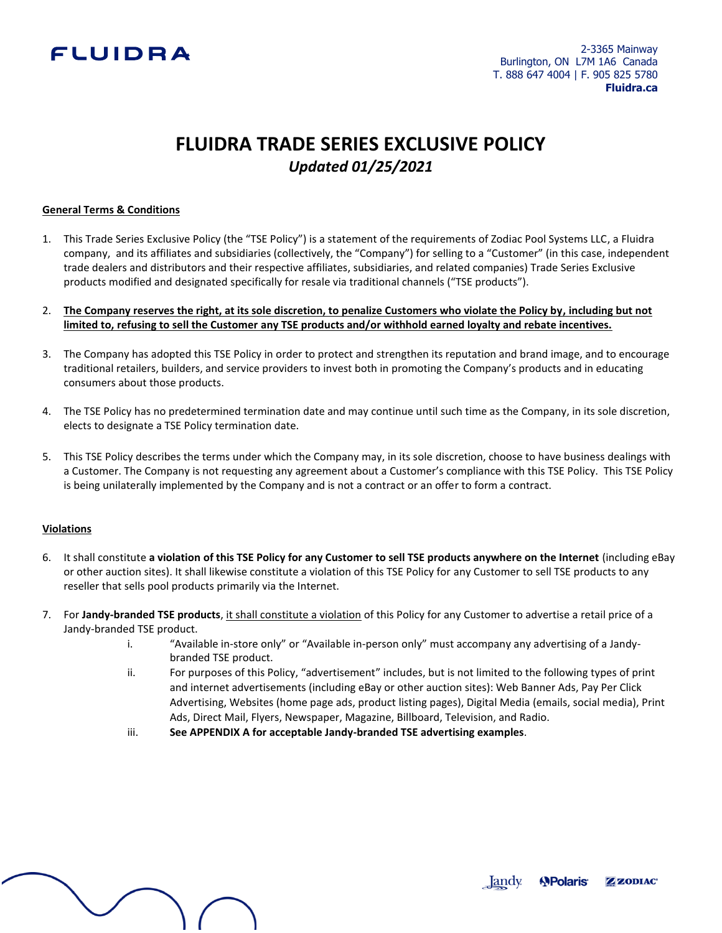# FLUIDRA

# **FLUIDRA TRADE SERIES EXCLUSIVE POLICY** *Updated 01/25/2021*

## **General Terms & Conditions**

1. This Trade Series Exclusive Policy (the "TSE Policy") is a statement of the requirements of Zodiac Pool Systems LLC, a Fluidra company, and its affiliates and subsidiaries (collectively, the "Company") for selling to a "Customer" (in this case, independent trade dealers and distributors and their respective affiliates, subsidiaries, and related companies) Trade Series Exclusive products modified and designated specifically for resale via traditional channels ("TSE products").

## 2. **The Company reserves the right, at its sole discretion, to penalize Customers who violate the Policy by, including but not limited to, refusing to sell the Customer any TSE products and/or withhold earned loyalty and rebate incentives.**

- 3. The Company has adopted this TSE Policy in order to protect and strengthen its reputation and brand image, and to encourage traditional retailers, builders, and service providers to invest both in promoting the Company's products and in educating consumers about those products.
- 4. The TSE Policy has no predetermined termination date and may continue until such time as the Company, in its sole discretion, elects to designate a TSE Policy termination date.
- 5. This TSE Policy describes the terms under which the Company may, in its sole discretion, choose to have business dealings with a Customer. The Company is not requesting any agreement about a Customer's compliance with this TSE Policy. This TSE Policy is being unilaterally implemented by the Company and is not a contract or an offer to form a contract.

### **Violations**

- 6. It shall constitute **a violation of this TSE Policy for any Customer to sell TSE products anywhere on the Internet** (including eBay or other auction sites). It shall likewise constitute a violation of this TSE Policy for any Customer to sell TSE products to any reseller that sells pool products primarily via the Internet.
- 7. For **Jandy-branded TSE products**, it shall constitute a violation of this Policy for any Customer to advertise a retail price of a Jandy-branded TSE product.
	- i. "Available in-store only" or "Available in-person only" must accompany any advertising of a Jandybranded TSE product.
	- ii. For purposes of this Policy, "advertisement" includes, but is not limited to the following types of print and internet advertisements (including eBay or other auction sites): Web Banner Ads, Pay Per Click Advertising, Websites (home page ads, product listing pages), Digital Media (emails, social media), Print Ads, Direct Mail, Flyers, Newspaper, Magazine, Billboard, Television, and Radio.
	- iii. **See APPENDIX A for acceptable Jandy-branded TSE advertising examples**.

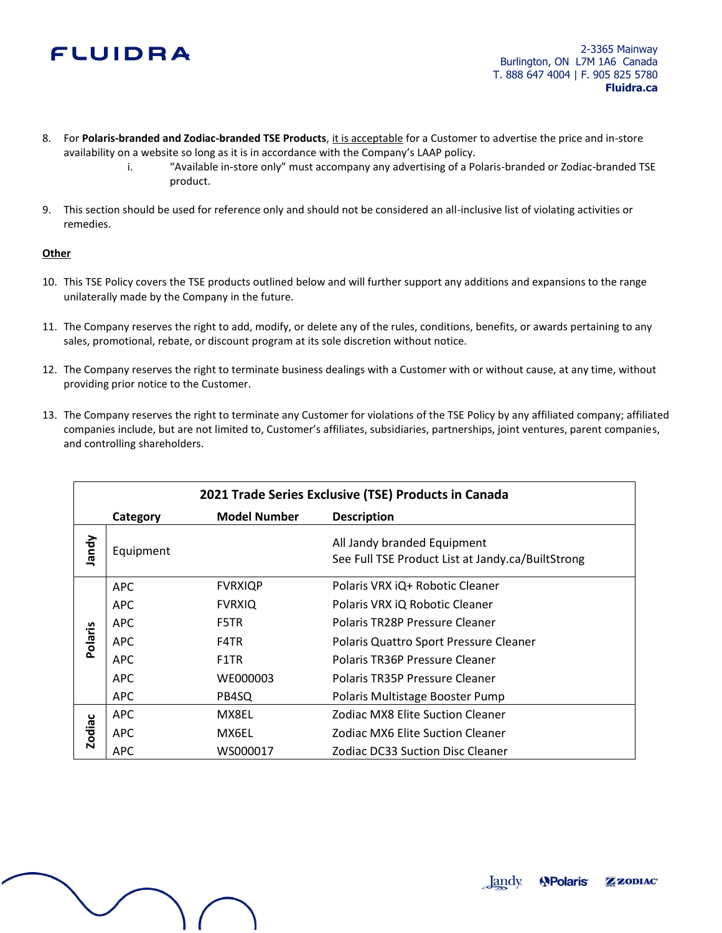# FLUIDRA

- 8. For **Polaris-branded and Zodiac-branded TSE Products**, it is acceptable for a Customer to advertise the price and in-store availability on a website so long as it is in accordance with the Company's LAAP policy.
	- i. "Available in-store only" must accompany any advertising of a Polaris-branded or Zodiac-branded TSE product.
- 9. This section should be used for reference only and should not be considered an all-inclusive list of violating activities or remedies.

# **Other**

- 10. This TSE Policy covers the TSE products outlined below and will further support any additions and expansions to the range unilaterally made by the Company in the future.
- 11. The Company reserves the right to add, modify, or delete any of the rules, conditions, benefits, or awards pertaining to any sales, promotional, rebate, or discount program at its sole discretion without notice.
- 12. The Company reserves the right to terminate business dealings with a Customer with or without cause, at any time, without providing prior notice to the Customer.
- 13. The Company reserves the right to terminate any Customer for violations of the TSE Policy by any affiliated company; affiliated companies include, but are not limited to, Customer's affiliates, subsidiaries, partnerships, joint ventures, parent companies, and controlling shareholders.

| 2021 Trade Series Exclusive (TSE) Products in Canada |            |                     |                                                                                  |
|------------------------------------------------------|------------|---------------------|----------------------------------------------------------------------------------|
|                                                      | Category   | <b>Model Number</b> | <b>Description</b>                                                               |
| <b>Vpuer</b>                                         | Equipment  |                     | All Jandy branded Equipment<br>See Full TSE Product List at Jandy.ca/BuiltStrong |
| <b>Polaris</b>                                       | <b>APC</b> | <b>FVRXIQP</b>      | Polaris VRX iQ+ Robotic Cleaner                                                  |
|                                                      | <b>APC</b> | <b>FVRXIQ</b>       | Polaris VRX iQ Robotic Cleaner                                                   |
|                                                      | APC        | F5TR                | Polaris TR28P Pressure Cleaner                                                   |
|                                                      | <b>APC</b> | F4TR                | Polaris Quattro Sport Pressure Cleaner                                           |
|                                                      | <b>APC</b> | F1TR                | Polaris TR36P Pressure Cleaner                                                   |
|                                                      | <b>APC</b> | WE000003            | Polaris TR35P Pressure Cleaner                                                   |
|                                                      | <b>APC</b> | PB4SQ               | Polaris Multistage Booster Pump                                                  |
| <b>Zodiac</b>                                        | <b>APC</b> | MX8EL               | Zodiac MX8 Elite Suction Cleaner                                                 |
|                                                      | <b>APC</b> | MX6EL               | Zodiac MX6 Elite Suction Cleaner                                                 |
|                                                      | <b>APC</b> | WS000017            | Zodiac DC33 Suction Disc Cleaner                                                 |